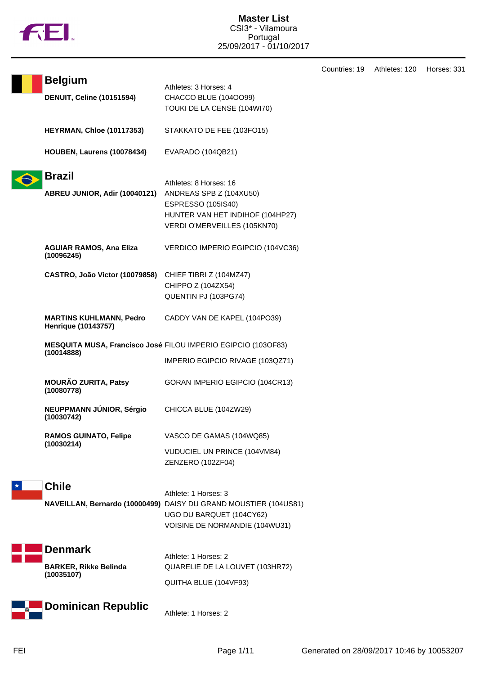

**Belgium** Athletes: 3 Horses: 4

**DENUIT, Celine (10151594)** CHACCO BLUE (104OO99)

TOUKI DE LA CENSE (104WI70)

|         | <b>HEYRMAN, Chloe (10117353)</b>                             | STAKKATO DE FEE (103FO15)                                                                                                                              |
|---------|--------------------------------------------------------------|--------------------------------------------------------------------------------------------------------------------------------------------------------|
|         | HOUBEN, Laurens (10078434)                                   | EVARADO (104QB21)                                                                                                                                      |
|         | <b>Brazil</b><br>ABREU JUNIOR, Adir (10040121)               | Athletes: 8 Horses: 16<br>ANDREAS SPB Z (104XU50)<br><b>ESPRESSO (105IS40)</b><br>HUNTER VAN HET INDIHOF (104HP27)<br>VERDI O'MERVEILLES (105KN70)     |
|         | <b>AGUIAR RAMOS, Ana Eliza</b><br>(10096245)                 | VERDICO IMPERIO EGIPCIO (104VC36)                                                                                                                      |
|         | CASTRO, João Victor (10079858)                               | CHIEF TIBRI Z (104MZ47)<br>CHIPPO Z (104ZX54)<br>QUENTIN PJ (103PG74)                                                                                  |
|         | <b>MARTINS KUHLMANN, Pedro</b><br><b>Henrique (10143757)</b> | CADDY VAN DE KAPEL (104PO39)                                                                                                                           |
|         | (10014888)                                                   | MESQUITA MUSA, Francisco José FILOU IMPERIO EGIPCIO (103OF83)<br>IMPERIO EGIPCIO RIVAGE (103QZ71)                                                      |
|         | <b>MOURÃO ZURITA, Patsy</b><br>(10080778)                    | GORAN IMPERIO EGIPCIO (104CR13)                                                                                                                        |
|         | NEUPPMANN JÚNIOR, Sérgio<br>(10030742)                       | CHICCA BLUE (104ZW29)                                                                                                                                  |
|         | <b>RAMOS GUINATO, Felipe</b><br>(10030214)                   | VASCO DE GAMAS (104WQ85)<br>VUDUCIEL UN PRINCE (104VM84)<br>ZENZERO (102ZF04)                                                                          |
| $\star$ | <b>Chile</b>                                                 | Athlete: 1 Horses: 3<br>NAVEILLAN, Bernardo (10000499) DAISY DU GRAND MOUSTIER (104US81)<br>UGO DU BARQUET (104CY62)<br>VOISINE DE NORMANDIE (104WU31) |
|         | <b>Denmark</b><br><b>BARKER, Rikke Belinda</b><br>(10035107) | Athlete: 1 Horses: 2<br>QUARELIE DE LA LOUVET (103HR72)<br>QUITHA BLUE (104VF93)                                                                       |
|         | <b>Dominican Republic</b>                                    | Athlete: 1 Horses: 2                                                                                                                                   |

Countries: 19 Athletes: 120 Horses: 331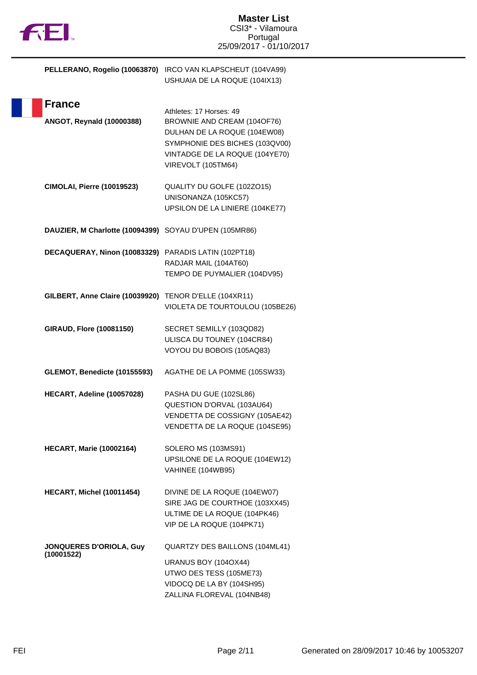| PELLERANO, Rogelio (10063870)                     | IRCO VAN KLAPSCHEUT (104VA99)<br>USHUAIA DE LA ROQUE (104IX13)                                                                                                                   |
|---------------------------------------------------|----------------------------------------------------------------------------------------------------------------------------------------------------------------------------------|
| <b>France</b><br><b>ANGOT, Reynald (10000388)</b> | Athletes: 17 Horses: 49<br>BROWNIE AND CREAM (104OF76)<br>DULHAN DE LA ROQUE (104EW08)<br>SYMPHONIE DES BICHES (103QV00)<br>VINTADGE DE LA ROQUE (104YE70)<br>VIREVOLT (105TM64) |
| <b>CIMOLAI, Pierre (10019523)</b>                 | QUALITY DU GOLFE (102ZO15)<br>UNISONANZA (105KC57)<br>UPSILON DE LA LINIERE (104KE77)                                                                                            |
| DAUZIER, M Charlotte (10094399)                   | SOYAU D'UPEN (105MR86)                                                                                                                                                           |
| DECAQUERAY, Ninon (10083329)                      | PARADIS LATIN (102PT18)<br>RADJAR MAIL (104AT60)<br>TEMPO DE PUYMALIER (104DV95)                                                                                                 |
| GILBERT, Anne Claire (10039920)                   | TENOR D'ELLE (104XR11)<br>VIOLETA DE TOURTOULOU (105BE26)                                                                                                                        |
| <b>GIRAUD, Flore (10081150)</b>                   | SECRET SEMILLY (103QD82)<br>ULISCA DU TOUNEY (104CR84)<br>VOYOU DU BOBOIS (105AQ83)                                                                                              |
| GLEMOT, Benedicte (10155593)                      | AGATHE DE LA POMME (105SW33)                                                                                                                                                     |
| HECART, Adeline (10057028)                        | PASHA DU GUE (102SL86)<br>QUESTION D'ORVAL (103AU64)<br>VENDETTA DE COSSIGNY (105AE42)<br>VENDETTA DE LA ROQUE (104SE95)                                                         |
| <b>HECART, Marie (10002164)</b>                   | SOLERO MS (103MS91)<br>UPSILONE DE LA ROQUE (104EW12)<br>VAHINEE (104WB95)                                                                                                       |
| HECART, Michel (10011454)                         | DIVINE DE LA ROQUE (104EW07)<br>SIRE JAG DE COURTHOE (103XX45)<br>ULTIME DE LA ROQUE (104PK46)<br>VIP DE LA ROQUE (104PK71)                                                      |
| <b>JONQUERES D'ORIOLA, Guy</b><br>(10001522)      | QUARTZY DES BAILLONS (104ML41)<br>URANUS BOY (104OX44)<br>UTWO DES TESS (105ME73)<br>VIDOCQ DE LA BY (104SH95)<br>ZALLINA FLOREVAL (104NB48)                                     |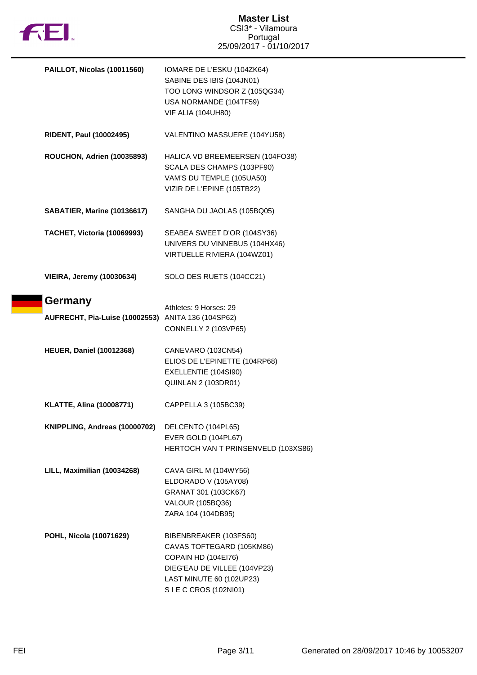

| PAILLOT, Nicolas (10011560)                                   | IOMARE DE L'ESKU (104ZK64)<br>SABINE DES IBIS (104JN01)<br>TOO LONG WINDSOR Z (105QG34)<br>USA NORMANDE (104TF59)<br><b>VIF ALIA (104UH80)</b>                 |
|---------------------------------------------------------------|----------------------------------------------------------------------------------------------------------------------------------------------------------------|
| <b>RIDENT, Paul (10002495)</b>                                | VALENTINO MASSUERE (104YU58)                                                                                                                                   |
| <b>ROUCHON, Adrien (10035893)</b>                             | HALICA VD BREEMEERSEN (104FO38)<br>SCALA DES CHAMPS (103PF90)<br>VAM'S DU TEMPLE (105UA50)<br>VIZIR DE L'EPINE (105TB22)                                       |
| SABATIER, Marine (10136617)                                   | SANGHA DU JAOLAS (105BQ05)                                                                                                                                     |
| TACHET, Victoria (10069993)                                   | SEABEA SWEET D'OR (104SY36)<br>UNIVERS DU VINNEBUS (104HX46)<br>VIRTUELLE RIVIERA (104WZ01)                                                                    |
| <b>VIEIRA, Jeremy (10030634)</b>                              | SOLO DES RUETS (104CC21)                                                                                                                                       |
| Germany<br>AUFRECHT, Pia-Luise (10002553) ANITA 136 (104SP62) | Athletes: 9 Horses: 29<br>CONNELLY 2 (103VP65)                                                                                                                 |
| <b>HEUER, Daniel (10012368)</b>                               | CANEVARO (103CN54)<br>ELIOS DE L'EPINETTE (104RP68)<br>EXELLENTIE (104SI90)<br><b>QUINLAN 2 (103DR01)</b>                                                      |
| <b>KLATTE, Alina (10008771)</b>                               | CAPPELLA 3 (105BC39)                                                                                                                                           |
| KNIPPLING, Andreas (10000702)                                 | DELCENTO (104PL65)<br>EVER GOLD (104PL67)<br>HERTOCH VAN T PRINSENVELD (103XS86)                                                                               |
| LILL, Maximilian (10034268)                                   | CAVA GIRL M (104WY56)<br>ELDORADO V (105AY08)<br>GRANAT 301 (103CK67)<br><b>VALOUR (105BQ36)</b><br>ZARA 104 (104DB95)                                         |
| POHL, Nicola (10071629)                                       | BIBENBREAKER (103FS60)<br>CAVAS TOFTEGARD (105KM86)<br>COPAIN HD (104EI76)<br>DIEG'EAU DE VILLEE (104VP23)<br>LAST MINUTE 60 (102UP23)<br>SIE C CROS (102NI01) |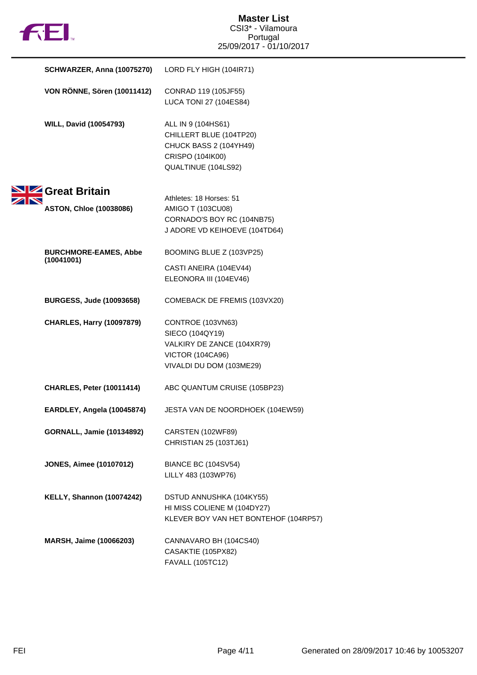|  | TΜ |
|--|----|

| <b>SCHWARZER, Anna (10075270)</b>                   | LORD FLY HIGH (104IR71)                                                                                                   |
|-----------------------------------------------------|---------------------------------------------------------------------------------------------------------------------------|
| <b>VON RÖNNE, Sören (10011412)</b>                  | CONRAD 119 (105JF55)<br><b>LUCA TONI 27 (104ES84)</b>                                                                     |
| <b>WILL, David (10054793)</b>                       | ALL IN 9 (104HS61)<br>CHILLERT BLUE (104TP20)<br>CHUCK BASS 2 (104YH49)<br>CRISPO (104IK00)<br>QUALTINUE (104LS92)        |
| SIZ Great Britain<br><b>ASTON, Chloe (10038086)</b> | Athletes: 18 Horses: 51<br>AMIGO T (103CU08)<br>CORNADO'S BOY RC (104NB75)<br>J ADORE VD KEIHOEVE (104TD64)               |
| <b>BURCHMORE-EAMES, Abbe</b><br>(10041001)          | BOOMING BLUE Z (103VP25)<br>CASTI ANEIRA (104EV44)<br>ELEONORA III (104EV46)                                              |
| <b>BURGESS, Jude (10093658)</b>                     | COMEBACK DE FREMIS (103VX20)                                                                                              |
| <b>CHARLES, Harry (10097879)</b>                    | CONTROE (103VN63)<br>SIECO (104QY19)<br>VALKIRY DE ZANCE (104XR79)<br><b>VICTOR (104CA96)</b><br>VIVALDI DU DOM (103ME29) |
| <b>CHARLES, Peter (10011414)</b>                    | ABC QUANTUM CRUISE (105BP23)                                                                                              |
| EARDLEY, Angela (10045874)                          | JESTA VAN DE NOORDHOEK (104EW59)                                                                                          |
| <b>GORNALL, Jamie (10134892)</b>                    | CARSTEN (102WF89)<br>CHRISTIAN 25 (103TJ61)                                                                               |
| <b>JONES, Aimee (10107012)</b>                      | <b>BIANCE BC (104SV54)</b><br>LILLY 483 (103WP76)                                                                         |
| <b>KELLY, Shannon (10074242)</b>                    | DSTUD ANNUSHKA (104KY55)<br>HI MISS COLIENE M (104DY27)<br>KLEVER BOY VAN HET BONTEHOF (104RP57)                          |
| MARSH, Jaime (10066203)                             | CANNAVARO BH (104CS40)<br>CASAKTIE (105PX82)<br>FAVALL (105TC12)                                                          |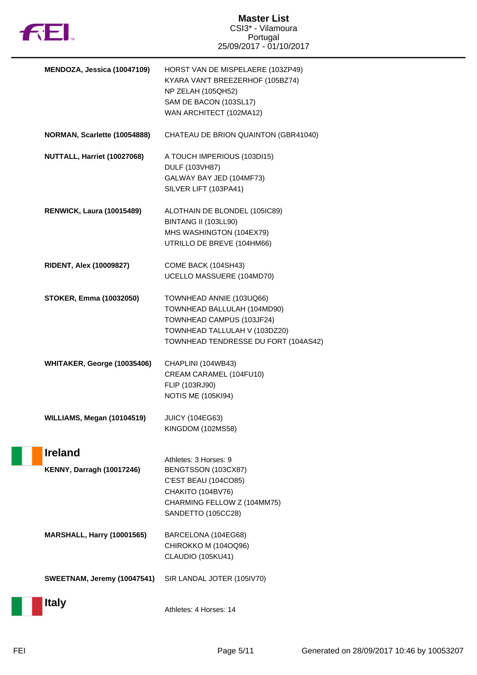

| MENDOZA, Jessica (10047109)                        | HORST VAN DE MISPELAERE (103ZP49)<br>KYARA VAN'T BREEZERHOF (105BZ74)<br>NP ZELAH (105QH52)<br>SAM DE BACON (103SL17)<br>WAN ARCHITECT (102MA12)              |
|----------------------------------------------------|---------------------------------------------------------------------------------------------------------------------------------------------------------------|
| NORMAN, Scarlette (10054888)                       | CHATEAU DE BRION QUAINTON (GBR41040)                                                                                                                          |
| NUTTALL, Harriet (10027068)                        | A TOUCH IMPERIOUS (103DI15)<br>DULF (103VH87)<br>GALWAY BAY JED (104MF73)<br>SILVER LIFT (103PA41)                                                            |
| <b>RENWICK, Laura (10015489)</b>                   | ALOTHAIN DE BLONDEL (105IC89)<br>BINTANG II (103LL90)<br>MHS WASHINGTON (104EX79)<br>UTRILLO DE BREVE (104HM66)                                               |
| <b>RIDENT, Alex (10009827)</b>                     | COME BACK (104SH43)<br>UCELLO MASSUERE (104MD70)                                                                                                              |
| <b>STOKER, Emma (10032050)</b>                     | TOWNHEAD ANNIE (103UQ66)<br>TOWNHEAD BALLULAH (104MD90)<br>TOWNHEAD CAMPUS (103JF24)<br>TOWNHEAD TALLULAH V (103DZ20)<br>TOWNHEAD TENDRESSE DU FORT (104AS42) |
| WHITAKER, George (10035406)                        | CHAPLINI (104WB43)<br>CREAM CARAMEL (104FU10)<br>FLIP (103RJ90)<br><b>NOTIS ME (105KI94)</b>                                                                  |
| WILLIAMS, Megan (10104519)                         | <b>JUICY (104EG63)</b><br>KINGDOM (102MS58)                                                                                                                   |
| <b>Ireland</b><br><b>KENNY, Darragh (10017246)</b> | Athletes: 3 Horses: 9<br>BENGTSSON (103CX87)<br>C'EST BEAU (104CO85)<br>CHAKITO (104BV76)<br>CHARMING FELLOW Z (104MM75)<br>SANDETTO (105CC28)                |
| <b>MARSHALL, Harry (10001565)</b>                  | BARCELONA (104EG68)<br>CHIROKKO M (104OQ96)<br>CLAUDIO (105KU41)                                                                                              |
| <b>SWEETNAM, Jeremy (10047541)</b>                 | SIR LANDAL JOTER (105IV70)                                                                                                                                    |
| <b>Italy</b>                                       | Athletes: 4 Horses: 14                                                                                                                                        |

H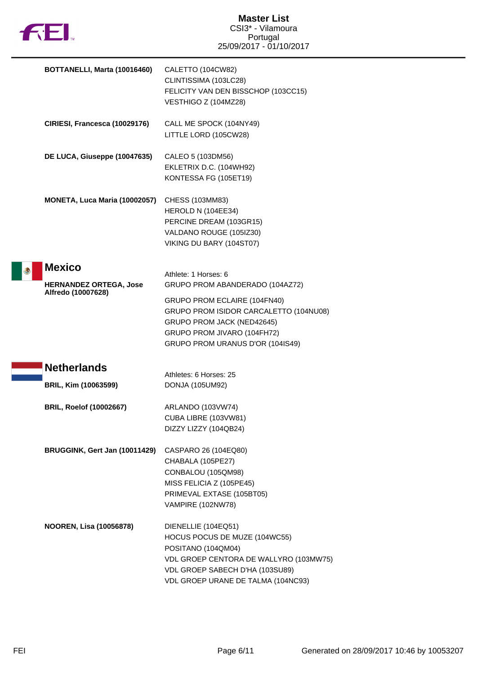

|    | BOTTANELLI, Marta (10016460)                   | CALETTO (104CW82)<br>CLINTISSIMA (103LC28)<br>FELICITY VAN DEN BISSCHOP (103CC15)<br>VESTHIGO Z (104MZ28)                                                                                     |
|----|------------------------------------------------|-----------------------------------------------------------------------------------------------------------------------------------------------------------------------------------------------|
|    | CIRIESI, Francesca (10029176)                  | CALL ME SPOCK (104NY49)<br>LITTLE LORD (105CW28)                                                                                                                                              |
|    | DE LUCA, Giuseppe (10047635)                   | CALEO 5 (103DM56)<br>EKLETRIX D.C. (104WH92)<br>KONTESSA FG (105ET19)                                                                                                                         |
|    | MONETA, Luca Maria (10002057)                  | CHESS (103MM83)<br>HEROLD N (104EE34)<br>PERCINE DREAM (103GR15)<br>VALDANO ROUGE (105IZ30)<br>VIKING DU BARY (104ST07)                                                                       |
| ري | <b>Mexico</b><br><b>HERNANDEZ ORTEGA, Jose</b> | Athlete: 1 Horses: 6<br>GRUPO PROM ABANDERADO (104AZ72)                                                                                                                                       |
|    | Alfredo (10007628)                             | GRUPO PROM ECLAIRE (104FN40)<br>GRUPO PROM ISIDOR CARCALETTO (104NU08)<br>GRUPO PROM JACK (NED42645)<br>GRUPO PROM JIVARO (104FH72)<br>GRUPO PROM URANUS D'OR (104IS49)                       |
|    | <b>Netherlands</b>                             | Athletes: 6 Horses: 25                                                                                                                                                                        |
|    | BRIL, Kim (10063599)                           | DONJA (105UM92)                                                                                                                                                                               |
|    | <b>BRIL, Roelof (10002667)</b>                 | ARLANDO (103VW74)<br>CUBA LIBRE (103VW81)<br>DIZZY LIZZY (104QB24)                                                                                                                            |
|    | BRUGGINK, Gert Jan (10011429)                  | CASPARO 26 (104EQ80)<br>CHABALA (105PE27)<br>CONBALOU (105QM98)<br>MISS FELICIA Z (105PE45)<br>PRIMEVAL EXTASE (105BT05)<br><b>VAMPIRE (102NW78)</b>                                          |
|    | <b>NOOREN, Lisa (10056878)</b>                 | DIENELLIE (104EQ51)<br>HOCUS POCUS DE MUZE (104WC55)<br>POSITANO (104QM04)<br>VDL GROEP CENTORA DE WALLYRO (103MW75)<br>VDL GROEP SABECH D'HA (103SU89)<br>VDL GROEP URANE DE TALMA (104NC93) |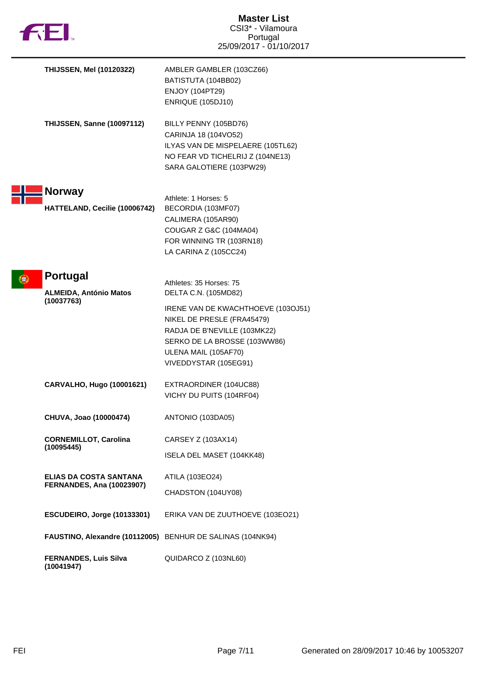|  | TМ |
|--|----|

| <b>THIJSSEN, Mel (10120322)</b>                                   | AMBLER GAMBLER (103CZ66)<br>BATISTUTA (104BB02)<br><b>ENJOY (104PT29)</b><br><b>ENRIQUE (105DJ10)</b>                                                                                                                                |
|-------------------------------------------------------------------|--------------------------------------------------------------------------------------------------------------------------------------------------------------------------------------------------------------------------------------|
| <b>THIJSSEN, Sanne (10097112)</b>                                 | BILLY PENNY (105BD76)<br>CARINJA 18 (104VO52)<br>ILYAS VAN DE MISPELAERE (105TL62)<br>NO FEAR VD TICHELRIJ Z (104NE13)<br>SARA GALOTIERE (103PW29)                                                                                   |
| <b>Norway</b><br>HATTELAND, Cecilie (10006742)                    | Athlete: 1 Horses: 5<br>BECORDIA (103MF07)<br>CALIMERA (105AR90)<br>COUGAR Z G&C (104MA04)<br>FOR WINNING TR (103RN18)<br>LA CARINA Z (105CC24)                                                                                      |
| <b>Portugal</b><br><b>ALMEIDA, António Matos</b><br>(10037763)    | Athletes: 35 Horses: 75<br>DELTA C.N. (105MD82)<br>IRENE VAN DE KWACHTHOEVE (103OJ51)<br>NIKEL DE PRESLE (FRA45479)<br>RADJA DE B'NEVILLE (103MK22)<br>SERKO DE LA BROSSE (103WW86)<br>ULENA MAIL (105AF70)<br>VIVEDDYSTAR (105EG91) |
| CARVALHO, Hugo (10001621)                                         | EXTRAORDINER (104UC88)<br>VICHY DU PUITS (104RF04)                                                                                                                                                                                   |
| CHUVA, Joao (10000474)                                            | ANTONIO (103DA05)                                                                                                                                                                                                                    |
| <b>CORNEMILLOT, Carolina</b><br>(10095445)                        | CARSEY Z (103AX14)<br>ISELA DEL MASET (104KK48)                                                                                                                                                                                      |
| <b>ELIAS DA COSTA SANTANA</b><br><b>FERNANDES, Ana (10023907)</b> | ATILA (103EO24)<br>CHADSTON (104UY08)                                                                                                                                                                                                |
| ESCUDEIRO, Jorge (10133301)                                       | ERIKA VAN DE ZUUTHOEVE (103EO21)                                                                                                                                                                                                     |
| FAUSTINO, Alexandre (10112005) BENHUR DE SALINAS (104NK94)        |                                                                                                                                                                                                                                      |
| <b>FERNANDES, Luis Silva</b><br>(10041947)                        | QUIDARCO Z (103NL60)                                                                                                                                                                                                                 |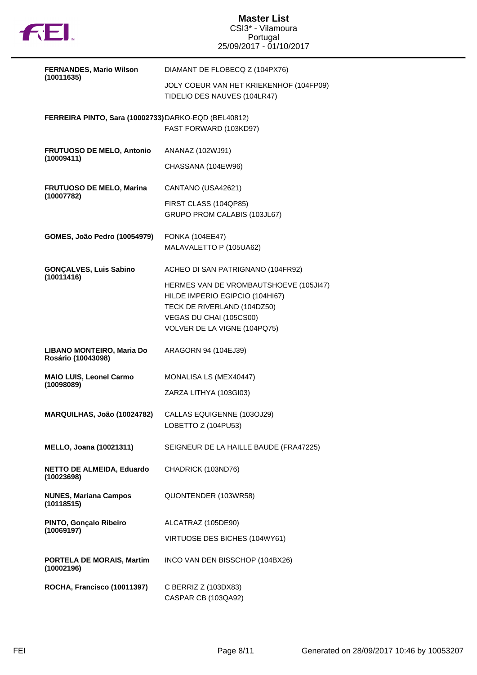

| <b>FERNANDES, Mario Wilson</b>                       | DIAMANT DE FLOBECQ Z (104PX76)                                          |
|------------------------------------------------------|-------------------------------------------------------------------------|
| (10011635)                                           | JOLY COEUR VAN HET KRIEKENHOF (104FP09)<br>TIDELIO DES NAUVES (104LR47) |
| FERREIRA PINTO, Sara (10002733) DARKO-EQD (BEL40812) | FAST FORWARD (103KD97)                                                  |
| <b>FRUTUOSO DE MELO, Antonio</b><br>(10009411)       | ANANAZ (102WJ91)                                                        |
|                                                      | CHASSANA (104EW96)                                                      |
| <b>FRUTUOSO DE MELO, Marina</b><br>(10007782)        | CANTANO (USA42621)                                                      |
|                                                      | FIRST CLASS (104QP85)<br>GRUPO PROM CALABIS (103JL67)                   |
| <b>GOMES, João Pedro (10054979)</b>                  | <b>FONKA (104EE47)</b><br>MALAVALETTO P (105UA62)                       |
| <b>GONÇALVES, Luis Sabino</b><br>(10011416)          | ACHEO DI SAN PATRIGNANO (104FR92)                                       |
|                                                      | HERMES VAN DE VROMBAUTSHOEVE (105JI47)                                  |
|                                                      | HILDE IMPERIO EGIPCIO (104HI67)<br>TECK DE RIVERLAND (104DZ50)          |
|                                                      | VEGAS DU CHAI (105CS00)                                                 |
|                                                      | VOLVER DE LA VIGNE (104PQ75)                                            |
| LIBANO MONTEIRO, Maria Do<br>Rosário (10043098)      | ARAGORN 94 (104EJ39)                                                    |
| <b>MAIO LUIS, Leonel Carmo</b><br>(10098089)         | MONALISA LS (MEX40447)                                                  |
|                                                      | ZARZA LITHYA (103GI03)                                                  |
|                                                      |                                                                         |
| MARQUILHAS, João (10024782)                          | CALLAS EQUIGENNE (103OJ29)                                              |
|                                                      | LOBETTO Z (104PU53)                                                     |
| <b>MELLO, Joana (10021311)</b>                       | SEIGNEUR DE LA HAILLE BAUDE (FRA47225)                                  |
| <b>NETTO DE ALMEIDA, Eduardo</b><br>(10023698)       | CHADRICK (103ND76)                                                      |
| <b>NUNES, Mariana Campos</b><br>(10118515)           | QUONTENDER (103WR58)                                                    |
| PINTO, Gonçalo Ribeiro                               | ALCATRAZ (105DE90)                                                      |
| (10069197)                                           | VIRTUOSE DES BICHES (104WY61)                                           |
| PORTELA DE MORAIS, Martim<br>(10002196)              | INCO VAN DEN BISSCHOP (104BX26)                                         |
| ROCHA, Francisco (10011397)                          | C BERRIZ Z (103DX83)<br>CASPAR CB (103QA92)                             |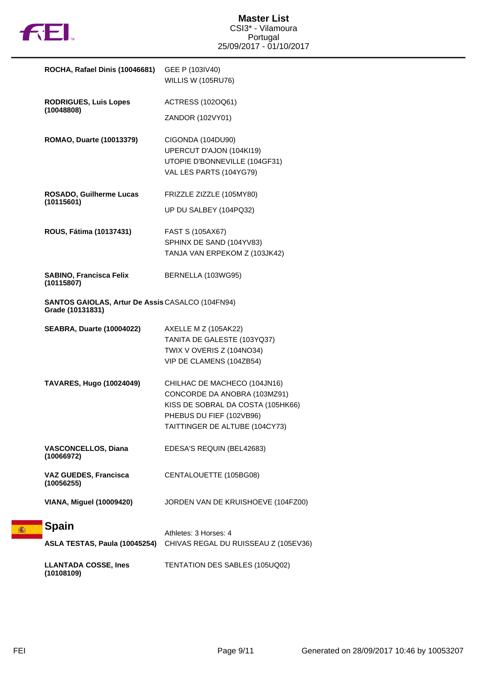

| ROCHA, Rafael Dinis (10046681)                                              | GEE P (103IV40)<br><b>WILLIS W (105RU76)</b>                                                                                                                    |
|-----------------------------------------------------------------------------|-----------------------------------------------------------------------------------------------------------------------------------------------------------------|
| <b>RODRIGUES, Luis Lopes</b>                                                | ACTRESS (102OQ61)                                                                                                                                               |
| (10048808)                                                                  | ZANDOR (102VY01)                                                                                                                                                |
| ROMAO, Duarte (10013379)                                                    | CIGONDA (104DU90)<br>UPERCUT D'AJON (104KI19)<br>UTOPIE D'BONNEVILLE (104GF31)<br>VAL LES PARTS (104YG79)                                                       |
| ROSADO, Guilherme Lucas                                                     | FRIZZLE ZIZZLE (105MY80)                                                                                                                                        |
| (10115601)                                                                  | UP DU SALBEY (104PQ32)                                                                                                                                          |
| ROUS, Fátima (10137431)                                                     | FAST S (105AX67)<br>SPHINX DE SAND (104YV83)<br>TANJA VAN ERPEKOM Z (103JK42)                                                                                   |
| <b>SABINO, Francisca Felix</b><br>(10115807)                                | BERNELLA (103WG95)                                                                                                                                              |
| <b>SANTOS GAIOLAS, Artur De Assis CASALCO (104FN94)</b><br>Grade (10131831) |                                                                                                                                                                 |
| <b>SEABRA, Duarte (10004022)</b>                                            | AXELLE M Z (105AK22)<br>TANITA DE GALESTE (103YQ37)<br>TWIX V OVERIS Z (104NO34)<br>VIP DE CLAMENS (104ZB54)                                                    |
| <b>TAVARES, Hugo (10024049)</b>                                             | CHILHAC DE MACHECO (104JN16)<br>CONCORDE DA ANOBRA (103MZ91)<br>KISS DE SOBRAL DA COSTA (105HK66)<br>PHEBUS DU FIEF (102VB96)<br>TAITTINGER DE ALTUBE (104CY73) |
| <b>VASCONCELLOS, Diana</b><br>(10066972)                                    | EDESA'S REQUIN (BEL42683)                                                                                                                                       |
| <b>VAZ GUEDES, Francisca</b><br>(10056255)                                  | CENTALOUETTE (105BG08)                                                                                                                                          |
| <b>VIANA, Miguel (10009420)</b>                                             | JORDEN VAN DE KRUISHOEVE (104FZ00)                                                                                                                              |
| <b>Spain</b>                                                                | Athletes: 3 Horses: 4                                                                                                                                           |
| ASLA TESTAS, Paula (10045254)                                               | CHIVAS REGAL DU RUISSEAU Z (105EV36)                                                                                                                            |
| <b>LLANTADA COSSE, Ines</b><br>(10108109)                                   | TENTATION DES SABLES (105UQ02)                                                                                                                                  |

瓣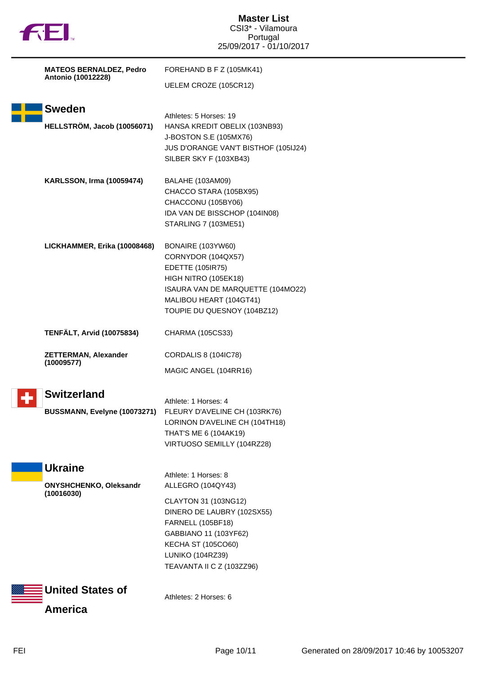|  | M |
|--|---|
|  |   |

|                    | <b>MATEOS BERNALDEZ, Pedro</b>                         | FOREHAND B F Z (105MK41)                                                                                                                                                                                                           |  |
|--------------------|--------------------------------------------------------|------------------------------------------------------------------------------------------------------------------------------------------------------------------------------------------------------------------------------------|--|
| Antonio (10012228) | UELEM CROZE (105CR12)                                  |                                                                                                                                                                                                                                    |  |
|                    | <b>Sweden</b><br>HELLSTRÖM, Jacob (10056071)           | Athletes: 5 Horses: 19<br>HANSA KREDIT OBELIX (103NB93)<br>J-BOSTON S.E (105MX76)<br>JUS D'ORANGE VAN'T BISTHOF (105IJ24)<br>SILBER SKY F (103XB43)                                                                                |  |
|                    | <b>KARLSSON, Irma (10059474)</b>                       | BALAHE (103AM09)<br>CHACCO STARA (105BX95)<br>CHACCONU (105BY06)<br>IDA VAN DE BISSCHOP (104IN08)<br><b>STARLING 7 (103ME51)</b>                                                                                                   |  |
|                    | LICKHAMMER, Erika (10008468)                           | BONAIRE (103YW60)<br>CORNYDOR (104QX57)<br><b>EDETTE (105IR75)</b><br>HIGH NITRO (105EK18)<br>ISAURA VAN DE MARQUETTE (104MO22)<br>MALIBOU HEART (104GT41)<br>TOUPIE DU QUESNOY (104BZ12)                                          |  |
|                    | <b>TENFÄLT, Arvid (10075834)</b>                       | CHARMA (105CS33)                                                                                                                                                                                                                   |  |
|                    | <b>ZETTERMAN, Alexander</b><br>(10009577)              | <b>CORDALIS 8 (104IC78)</b><br>MAGIC ANGEL (104RR16)                                                                                                                                                                               |  |
|                    | <b>Switzerland</b><br>BUSSMANN, Evelyne (10073271)     | Athlete: 1 Horses: 4<br>FLEURY D'AVELINE CH (103RK76)<br>LORINON D'AVELINE CH (104TH18)                                                                                                                                            |  |
|                    |                                                        | THAT'S ME 6 (104AK19)<br>VIRTUOSO SEMILLY (104RZ28)                                                                                                                                                                                |  |
|                    | <b>Ukraine</b><br>ONYSHCHENKO, Oleksandr<br>(10016030) | Athlete: 1 Horses: 8<br>ALLEGRO (104QY43)<br>CLAYTON 31 (103NG12)<br>DINERO DE LAUBRY (102SX55)<br><b>FARNELL (105BF18)</b><br>GABBIANO 11 (103YF62)<br><b>KECHA ST (105CO60)</b><br>LUNIKO (104RZ39)<br>TEAVANTA II C Z (103ZZ96) |  |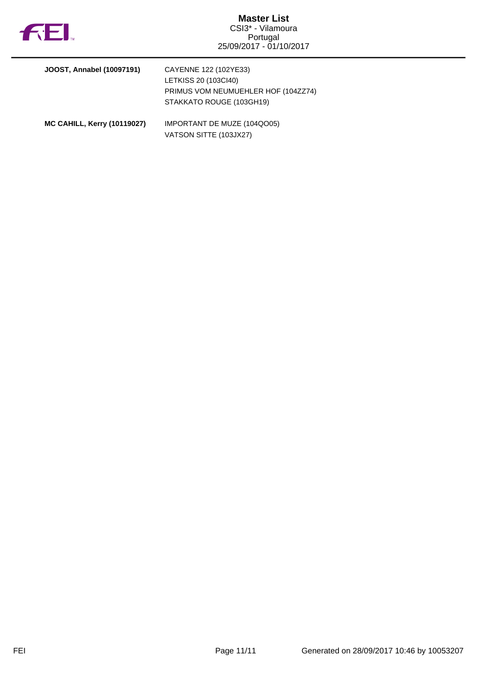

| JOOST, Annabel (10097191)          | CAYENNE 122 (102YE33)<br>LETKISS 20 (103CI40)<br>PRIMUS VOM NEUMUEHLER HOF (104ZZ74)<br>STAKKATO ROUGE (103GH19) |
|------------------------------------|------------------------------------------------------------------------------------------------------------------|
| <b>MC CAHILL, Kerry (10119027)</b> | IMPORTANT DE MUZE (104QO05)                                                                                      |

VATSON SITTE (103JX27)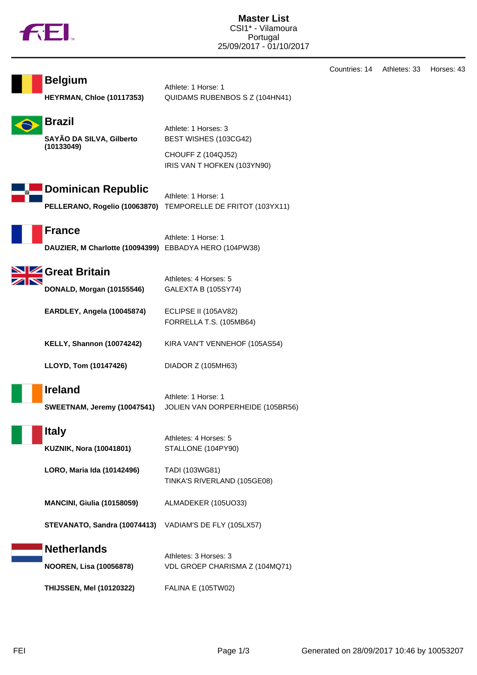

**Belgium** Athlete: 1 Horse: 1

| <b>HEYRMAN, Chloe (10117353)</b>                                        | QUIDAMS RUBENBOS S Z (104HN41)                                                                     |
|-------------------------------------------------------------------------|----------------------------------------------------------------------------------------------------|
| <b>Brazil</b><br>SAYÃO DA SILVA, Gilberto<br>(10133049)                 | Athlete: 1 Horses: 3<br>BEST WISHES (103CG42)<br>CHOUFF Z (104QJ52)<br>IRIS VAN T HOFKEN (103YN90) |
| <b>Dominican Republic</b><br>PELLERANO, Rogelio (10063870)              | Athlete: 1 Horse: 1<br>TEMPORELLE DE FRITOT (103YX11)                                              |
| <b>France</b><br>DAUZIER, M Charlotte (10094399) EBBADYA HERO (104PW38) | Athlete: 1 Horse: 1                                                                                |
| SIZ Great Britain<br>DONALD, Morgan (10155546)                          | Athletes: 4 Horses: 5<br>GALEXTA B (105SY74)                                                       |
| EARDLEY, Angela (10045874)                                              | ECLIPSE II (105AV82)<br>FORRELLA T.S. (105MB64)                                                    |
| <b>KELLY, Shannon (10074242)</b>                                        | KIRA VAN'T VENNEHOF (105AS54)                                                                      |
| LLOYD, Tom (10147426)                                                   | DIADOR Z (105MH63)                                                                                 |
| <b>Ireland</b><br>SWEETNAM, Jeremy (10047541)                           | Athlete: 1 Horse: 1<br>JOLIEN VAN DORPERHEIDE (105BR56)                                            |
| <b>Italy</b><br><b>KUZNIK, Nora (10041801)</b>                          | Athletes: 4 Horses: 5<br>STALLONE (104PY90)                                                        |
| LORO, Maria Ida (10142496)                                              | TADI (103WG81)<br>TINKA'S RIVERLAND (105GE08)                                                      |
| <b>MANCINI, Giulia (10158059)</b>                                       | ALMADEKER (105UO33)                                                                                |
| STEVANATO, Sandra (10074413)                                            | VADIAM'S DE FLY (105LX57)                                                                          |
| <b>Netherlands</b><br><b>NOOREN, Lisa (10056878)</b>                    | Athletes: 3 Horses: 3<br>VDL GROEP CHARISMA Z (104MQ71)                                            |
| <b>THIJSSEN, Mel (10120322)</b>                                         | <b>FALINA E (105TW02)</b>                                                                          |

Countries: 14 Athletes: 33 Horses: 43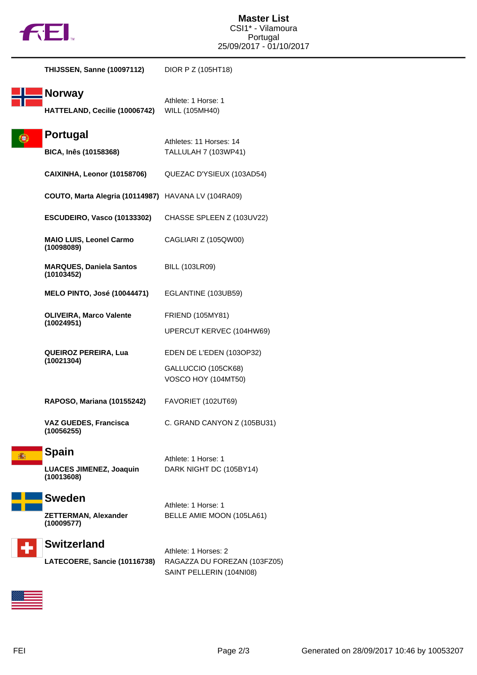

| <b>THIJSSEN, Sanne (10097112)</b>                   | DIOR P Z (105HT18)                                                               |
|-----------------------------------------------------|----------------------------------------------------------------------------------|
| <b>Norway</b><br>HATTELAND, Cecilie (10006742)      | Athlete: 1 Horse: 1<br>WILL (105MH40)                                            |
| Portugal                                            | Athletes: 11 Horses: 14                                                          |
| BICA, Inês (10158368)                               | TALLULAH 7 (103WP41)                                                             |
| CAIXINHA, Leonor (10158706)                         | QUEZAC D'YSIEUX (103AD54)                                                        |
| COUTO, Marta Alegria (10114987) HAVANA LV (104RA09) |                                                                                  |
| ESCUDEIRO, Vasco (10133302)                         | CHASSE SPLEEN Z (103UV22)                                                        |
| <b>MAIO LUIS, Leonel Carmo</b><br>(10098089)        | CAGLIARI Z (105QW00)                                                             |
| <b>MARQUES, Daniela Santos</b><br>(10103452)        | <b>BILL (103LR09)</b>                                                            |
| <b>MELO PINTO, José (10044471)</b>                  | EGLANTINE (103UB59)                                                              |
| <b>OLIVEIRA, Marco Valente</b><br>(10024951)        | FRIEND (105MY81)                                                                 |
|                                                     | UPERCUT KERVEC (104HW69)                                                         |
| <b>QUEIROZ PEREIRA, Lua</b><br>(10021304)           | EDEN DE L'EDEN (103OP32)                                                         |
|                                                     | GALLUCCIO (105CK68)<br><b>VOSCO HOY (104MT50)</b>                                |
| RAPOSO, Mariana (10155242)                          | FAVORIET (102UT69)                                                               |
| <b>VAZ GUEDES, Francisca</b><br>(10056255)          | C. GRAND CANYON Z (105BU31)                                                      |
| <b>Spain</b>                                        | Athlete: 1 Horse: 1                                                              |
| <b>LUACES JIMENEZ, Joaquin</b><br>(10013608)        | DARK NIGHT DC (105BY14)                                                          |
| <b>Sweden</b>                                       | Athlete: 1 Horse: 1                                                              |
| <b>ZETTERMAN, Alexander</b><br>(10009577)           | BELLE AMIE MOON (105LA61)                                                        |
| <b>Switzerland</b>                                  |                                                                                  |
| LATECOERE, Sancie (10116738)                        | Athlete: 1 Horses: 2<br>RAGAZZA DU FOREZAN (103FZ05)<br>SAINT PELLERIN (104NI08) |